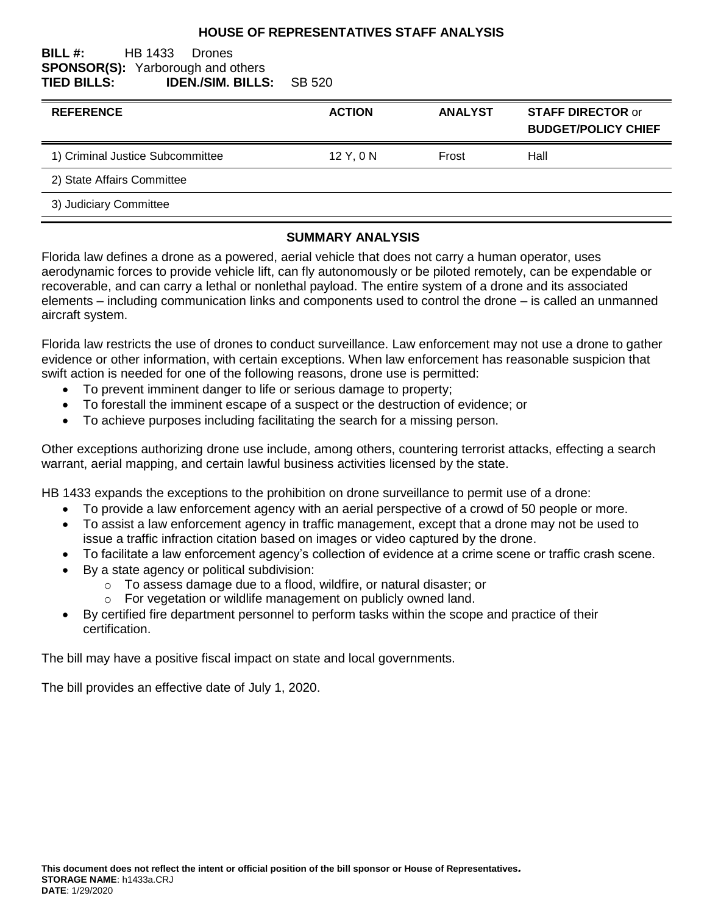#### **HOUSE OF REPRESENTATIVES STAFF ANALYSIS**

#### **BILL #:** HB 1433 Drones **SPONSOR(S):** Yarborough and others **TIED BILLS: IDEN./SIM. BILLS:** SB 520

| <b>REFERENCE</b>                 | <b>ACTION</b> | <b>ANALYST</b> | <b>STAFF DIRECTOR or</b><br><b>BUDGET/POLICY CHIEF</b> |
|----------------------------------|---------------|----------------|--------------------------------------------------------|
| 1) Criminal Justice Subcommittee | 12 Y, 0 N     | Frost          | Hall                                                   |
| 2) State Affairs Committee       |               |                |                                                        |
| 3) Judiciary Committee           |               |                |                                                        |

#### **SUMMARY ANALYSIS**

Florida law defines a drone as a powered, aerial vehicle that does not carry a human operator, uses aerodynamic forces to provide vehicle lift, can fly autonomously or be piloted remotely, can be expendable or recoverable, and can carry a lethal or nonlethal payload. The entire system of a drone and its associated elements – including communication links and components used to control the drone – is called an unmanned aircraft system.

Florida law restricts the use of drones to conduct surveillance. Law enforcement may not use a drone to gather evidence or other information, with certain exceptions. When law enforcement has reasonable suspicion that swift action is needed for one of the following reasons, drone use is permitted:

- To prevent imminent danger to life or serious damage to property;
- To forestall the imminent escape of a suspect or the destruction of evidence; or
- To achieve purposes including facilitating the search for a missing person.

Other exceptions authorizing drone use include, among others, countering terrorist attacks, effecting a search warrant, aerial mapping, and certain lawful business activities licensed by the state.

HB 1433 expands the exceptions to the prohibition on drone surveillance to permit use of a drone:

- To provide a law enforcement agency with an aerial perspective of a crowd of 50 people or more.
- To assist a law enforcement agency in traffic management, except that a drone may not be used to issue a traffic infraction citation based on images or video captured by the drone.
- To facilitate a law enforcement agency's collection of evidence at a crime scene or traffic crash scene.
- By a state agency or political subdivision:
	- o To assess damage due to a flood, wildfire, or natural disaster; or
	- o For vegetation or wildlife management on publicly owned land.
- By certified fire department personnel to perform tasks within the scope and practice of their certification.

The bill may have a positive fiscal impact on state and local governments.

The bill provides an effective date of July 1, 2020.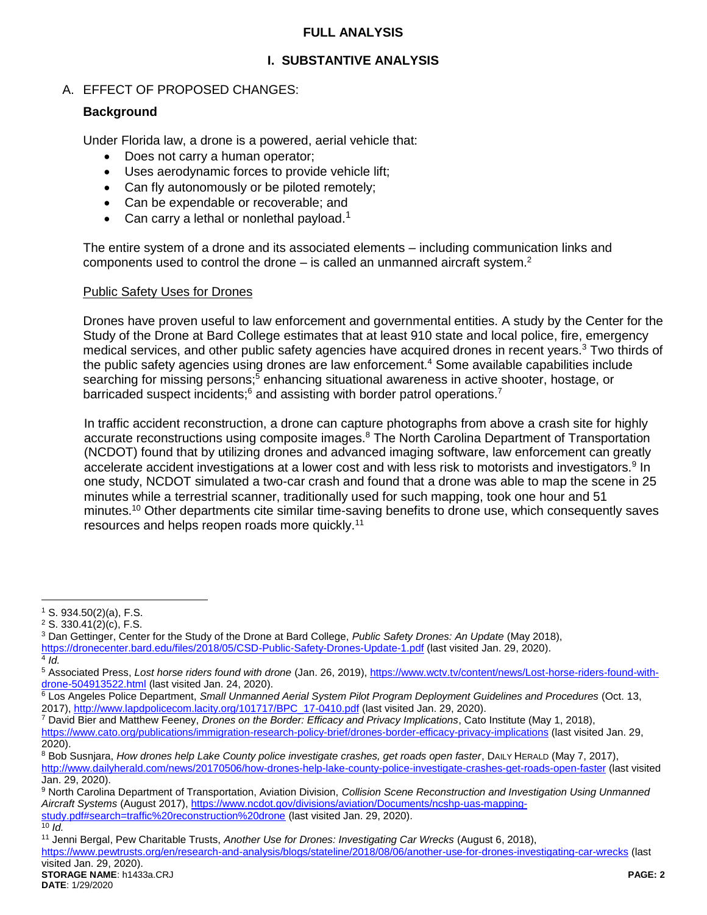## **FULL ANALYSIS**

# **I. SUBSTANTIVE ANALYSIS**

# A. EFFECT OF PROPOSED CHANGES:

## **Background**

Under Florida law, a drone is a powered, aerial vehicle that:

- Does not carry a human operator;
- Uses aerodynamic forces to provide vehicle lift;
- Can fly autonomously or be piloted remotely;
- Can be expendable or recoverable; and
- Can carry a lethal or nonlethal payload.<sup>1</sup>

The entire system of a drone and its associated elements – including communication links and components used to control the drone  $-$  is called an unmanned aircraft system.<sup>2</sup>

### Public Safety Uses for Drones

Drones have proven useful to law enforcement and governmental entities. A study by the Center for the Study of the Drone at Bard College estimates that at least 910 state and local police, fire, emergency medical services, and other public safety agencies have acquired drones in recent years.<sup>3</sup> Two thirds of the public safety agencies using drones are law enforcement.<sup>4</sup> Some available capabilities include searching for missing persons;<sup>5</sup> enhancing situational awareness in active shooter, hostage, or barricaded suspect incidents;<sup>6</sup> and assisting with border patrol operations.<sup>7</sup>

In traffic accident reconstruction, a drone can capture photographs from above a crash site for highly accurate reconstructions using composite images.<sup>8</sup> The North Carolina Department of Transportation (NCDOT) found that by utilizing drones and advanced imaging software, law enforcement can greatly accelerate accident investigations at a lower cost and with less risk to motorists and investigators.<sup>9</sup> In one study, NCDOT simulated a two-car crash and found that a drone was able to map the scene in 25 minutes while a terrestrial scanner, traditionally used for such mapping, took one hour and 51 minutes.<sup>10</sup> Other departments cite similar time-saving benefits to drone use, which consequently saves resources and helps reopen roads more quickly.<sup>11</sup>

4 *Id.*

 $\overline{a}$ 

<sup>7</sup> David Bier and Matthew Feeney, *Drones on the Border: Efficacy and Privacy Implications*, Cato Institute (May 1, 2018), <https://www.cato.org/publications/immigration-research-policy-brief/drones-border-efficacy-privacy-implications> (last visited Jan. 29, 2020).

<sup>1</sup> S. 934.50(2)(a), F.S.

<sup>2</sup> S. 330.41(2)(c), F.S.

<sup>3</sup> Dan Gettinger, Center for the Study of the Drone at Bard College, *Public Safety Drones: An Update* (May 2018), <https://dronecenter.bard.edu/files/2018/05/CSD-Public-Safety-Drones-Update-1.pdf> (last visited Jan. 29, 2020).

<sup>5</sup> Associated Press, *Lost horse riders found with drone* (Jan. 26, 2019)[, https://www.wctv.tv/content/news/Lost-horse-riders-found-with](https://www.wctv.tv/content/news/Lost-horse-riders-found-with-drone-504913522.html)[drone-504913522.html](https://www.wctv.tv/content/news/Lost-horse-riders-found-with-drone-504913522.html) (last visited Jan. 24, 2020).

<sup>6</sup> Los Angeles Police Department, *Small Unmanned Aerial System Pilot Program Deployment Guidelines and Procedures* (Oct. 13, 2017), [http://www.lapdpolicecom.lacity.org/101717/BPC\\_17-0410.pdf](http://www.lapdpolicecom.lacity.org/101717/BPC_17-0410.pdf) (last visited Jan. 29, 2020).

<sup>8</sup> Bob Susnjara, *How drones help Lake County police investigate crashes, get roads open faster*, DAILY HERALD (May 7, 2017), <http://www.dailyherald.com/news/20170506/how-drones-help-lake-county-police-investigate-crashes-get-roads-open-faster> (last visited Jan. 29, 2020).

<sup>9</sup> North Carolina Department of Transportation, Aviation Division, *Collision Scene Reconstruction and Investigation Using Unmanned Aircraft Systems* (August 2017)[, https://www.ncdot.gov/divisions/aviation/Documents/ncshp-uas-mapping](https://www.ncdot.gov/divisions/aviation/Documents/ncshp-uas-mapping-study.pdf#search=traffic%20reconstruction%20drone)[study.pdf#search=traffic%20reconstruction%20drone](https://www.ncdot.gov/divisions/aviation/Documents/ncshp-uas-mapping-study.pdf#search=traffic%20reconstruction%20drone) (last visited Jan. 29, 2020). <sup>10</sup> *Id.*

<sup>11</sup> Jenni Bergal, Pew Charitable Trusts, *Another Use for Drones: Investigating Car Wrecks* (August 6, 2018), <https://www.pewtrusts.org/en/research-and-analysis/blogs/stateline/2018/08/06/another-use-for-drones-investigating-car-wrecks> (last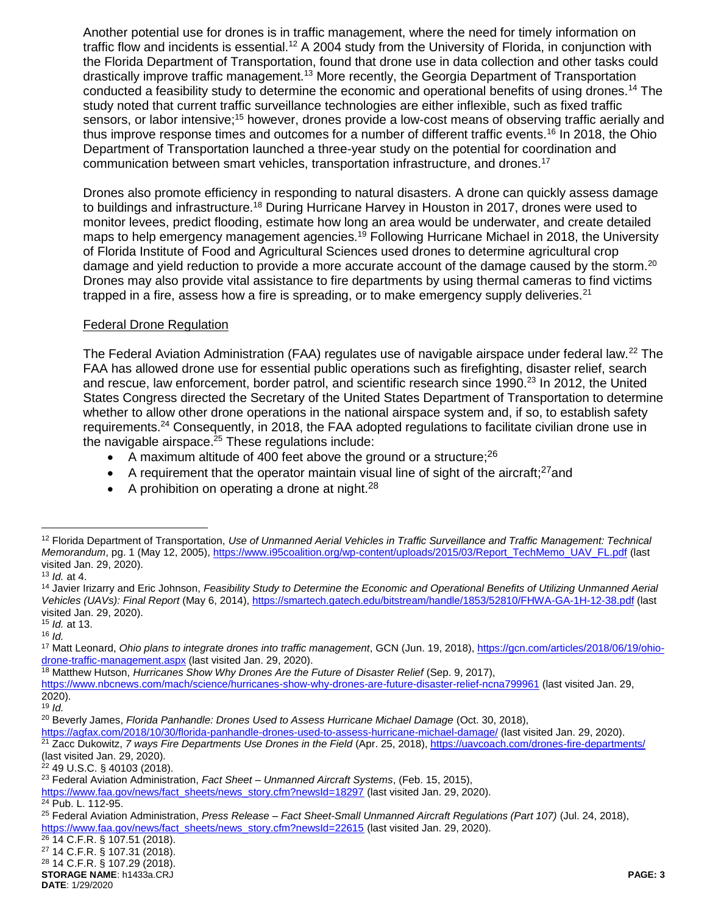Another potential use for drones is in traffic management, where the need for timely information on traffic flow and incidents is essential.<sup>12</sup> A 2004 study from the University of Florida, in conjunction with the Florida Department of Transportation, found that drone use in data collection and other tasks could drastically improve traffic management.<sup>13</sup> More recently, the Georgia Department of Transportation conducted a feasibility study to determine the economic and operational benefits of using drones.<sup>14</sup> The study noted that current traffic surveillance technologies are either inflexible, such as fixed traffic sensors, or labor intensive;<sup>15</sup> however, drones provide a low-cost means of observing traffic aerially and thus improve response times and outcomes for a number of different traffic events.<sup>16</sup> In 2018, the Ohio Department of Transportation launched a three-year study on the potential for coordination and communication between smart vehicles, transportation infrastructure, and drones.<sup>17</sup>

Drones also promote efficiency in responding to natural disasters. A drone can quickly assess damage to buildings and infrastructure.<sup>18</sup> During Hurricane Harvey in Houston in 2017, drones were used to monitor levees, predict flooding, estimate how long an area would be underwater, and create detailed maps to help emergency management agencies.<sup>19</sup> Following Hurricane Michael in 2018, the University of Florida Institute of Food and Agricultural Sciences used drones to determine agricultural crop damage and yield reduction to provide a more accurate account of the damage caused by the storm.<sup>20</sup> Drones may also provide vital assistance to fire departments by using thermal cameras to find victims trapped in a fire, assess how a fire is spreading, or to make emergency supply deliveries.<sup>21</sup>

#### Federal Drone Regulation

The Federal Aviation Administration (FAA) regulates use of navigable airspace under federal law.<sup>22</sup> The FAA has allowed drone use for essential public operations such as firefighting, disaster relief, search and rescue, law enforcement, border patrol, and scientific research since 1990.<sup>23</sup> In 2012, the United States Congress directed the Secretary of the United States Department of Transportation to determine whether to allow other drone operations in the national airspace system and, if so, to establish safety requirements.<sup>24</sup> Consequently, in 2018, the FAA adopted regulations to facilitate civilian drone use in the navigable airspace. $25$  These regulations include:

- A maximum altitude of 400 feet above the ground or a structure;  $26$
- $\bullet$  A requirement that the operator maintain visual line of sight of the aircraft;<sup>27</sup> and
- A prohibition on operating a drone at night.<sup>28</sup>

 $\overline{a}$ 

<sup>15</sup> *Id.* at 13. <sup>16</sup> *Id.*

<sup>18</sup> Matthew Hutson, *Hurricanes Show Why Drones Are the Future of Disaster Relief* (Sep. 9, 2017),

 $\overline{24}$  Pub. L. 112-95.

<sup>26</sup> 14 C.F.R. § 107.51 (2018).

<sup>27</sup> 14 C.F.R. § 107.31 (2018).

**STORAGE NAME**: h1433a.CRJ **PAGE: 3** <sup>28</sup> 14 C.F.R. § 107.29 (2018).

**DATE**: 1/29/2020

<sup>12</sup> Florida Department of Transportation, *Use of Unmanned Aerial Vehicles in Traffic Surveillance and Traffic Management: Technical Memorandum*, pg. 1 (May 12, 2005)[, https://www.i95coalition.org/wp-content/uploads/2015/03/Report\\_TechMemo\\_UAV\\_FL.pdf](https://www.i95coalition.org/wp-content/uploads/2015/03/Report_TechMemo_UAV_FL.pdf) (last visited Jan. 29, 2020).

<sup>13</sup> *Id.* at 4.

<sup>14</sup> Javier Irizarry and Eric Johnson, *Feasibility Study to Determine the Economic and Operational Benefits of Utilizing Unmanned Aerial Vehicles (UAVs): Final Report* (May 6, 2014)[, https://smartech.gatech.edu/bitstream/handle/1853/52810/FHWA-GA-1H-12-38.pdf](https://smartech.gatech.edu/bitstream/handle/1853/52810/FHWA-GA-1H-12-38.pdf) (last visited Jan. 29, 2020).

<sup>17</sup> Matt Leonard, *Ohio plans to integrate drones into traffic management*, GCN (Jun. 19, 2018)[, https://gcn.com/articles/2018/06/19/ohio](https://gcn.com/articles/2018/06/19/ohio-drone-traffic-management.aspx)[drone-traffic-management.aspx](https://gcn.com/articles/2018/06/19/ohio-drone-traffic-management.aspx) (last visited Jan. 29, 2020).

<https://www.nbcnews.com/mach/science/hurricanes-show-why-drones-are-future-disaster-relief-ncna799961> (last visited Jan. 29, 2020).

<sup>19</sup> *Id.*

<sup>20</sup> Beverly James, *Florida Panhandle: Drones Used to Assess Hurricane Michael Damage* (Oct. 30, 2018),

<https://agfax.com/2018/10/30/florida-panhandle-drones-used-to-assess-hurricane-michael-damage/> (last visited Jan. 29, 2020).

<sup>21</sup> Zacc Dukowitz, *7 ways Fire Departments Use Drones in the Field* (Apr. 25, 2018),<https://uavcoach.com/drones-fire-departments/> (last visited Jan. 29, 2020).

 $22$  49 U.S.C. § 40103 (2018).

<sup>23</sup> Federal Aviation Administration, *Fact Sheet – Unmanned Aircraft Systems*, (Feb. 15, 2015),

[https://www.faa.gov/news/fact\\_sheets/news\\_story.cfm?newsId=18297](https://www.faa.gov/news/fact_sheets/news_story.cfm?newsId=18297) (last visited Jan. 29, 2020).

<sup>25</sup> Federal Aviation Administration, *Press Release – Fact Sheet-Small Unmanned Aircraft Regulations (Part 107)* (Jul. 24, 2018), [https://www.faa.gov/news/fact\\_sheets/news\\_story.cfm?newsId=22615](https://www.faa.gov/news/fact_sheets/news_story.cfm?newsId=22615) (last visited Jan. 29, 2020).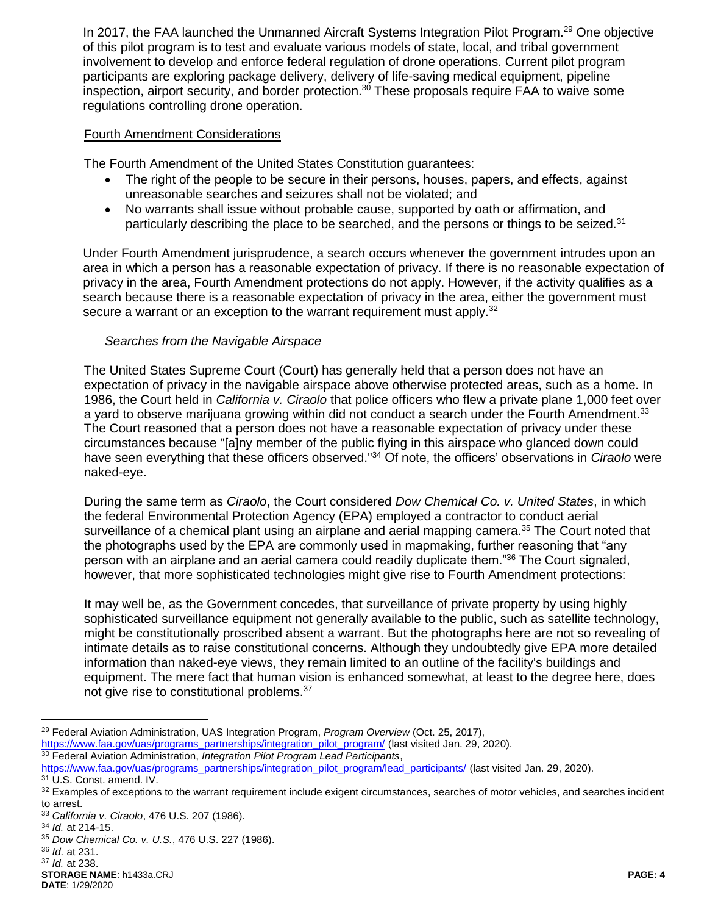In 2017, the FAA launched the Unmanned Aircraft Systems Integration Pilot Program.<sup>29</sup> One objective of this pilot program is to test and evaluate various models of state, local, and tribal government involvement to develop and enforce federal regulation of drone operations. Current pilot program participants are exploring package delivery, delivery of life-saving medical equipment, pipeline inspection, airport security, and border protection.<sup>30</sup> These proposals require FAA to waive some regulations controlling drone operation.

#### Fourth Amendment Considerations

The Fourth Amendment of the United States Constitution guarantees:

- The right of the people to be secure in their persons, houses, papers, and effects, against unreasonable searches and seizures shall not be violated; and
- No warrants shall issue without probable cause, supported by oath or affirmation, and particularly describing the place to be searched, and the persons or things to be seized.<sup>31</sup>

Under Fourth Amendment jurisprudence, a search occurs whenever the government intrudes upon an area in which a person has a reasonable expectation of privacy. If there is no reasonable expectation of privacy in the area, Fourth Amendment protections do not apply. However, if the activity qualifies as a search because there is a reasonable expectation of privacy in the area, either the government must secure a warrant or an exception to the warrant requirement must apply.<sup>32</sup>

#### *Searches from the Navigable Airspace*

The United States Supreme Court (Court) has generally held that a person does not have an expectation of privacy in the navigable airspace above otherwise protected areas, such as a home. In 1986, the Court held in *California v. Ciraolo* that police officers who flew a private plane 1,000 feet over a yard to observe marijuana growing within did not conduct a search under the Fourth Amendment.  $33$ The Court reasoned that a person does not have a reasonable expectation of privacy under these circumstances because "[a]ny member of the public flying in this airspace who glanced down could have seen everything that these officers observed."<sup>34</sup> Of note, the officers' observations in *Ciraolo* were naked-eye.

During the same term as *Ciraolo*, the Court considered *Dow Chemical Co. v. United States*, in which the federal Environmental Protection Agency (EPA) employed a contractor to conduct aerial surveillance of a chemical plant using an airplane and aerial mapping camera.<sup>35</sup> The Court noted that the photographs used by the EPA are commonly used in mapmaking, further reasoning that "any person with an airplane and an aerial camera could readily duplicate them."<sup>36</sup> The Court signaled, however, that more sophisticated technologies might give rise to Fourth Amendment protections:

It may well be, as the Government concedes, that surveillance of private property by using highly sophisticated surveillance equipment not generally available to the public, such as satellite technology, might be constitutionally proscribed absent a warrant. But the photographs here are not so revealing of intimate details as to raise constitutional concerns. Although they undoubtedly give EPA more detailed information than naked-eye views, they remain limited to an outline of the facility's buildings and equipment. The mere fact that human vision is enhanced somewhat, at least to the degree here, does not give rise to constitutional problems.<sup>37</sup>

 $\overline{a}$ 

<sup>29</sup> Federal Aviation Administration, UAS Integration Program, *Program Overview* (Oct. 25, 2017), [https://www.faa.gov/uas/programs\\_partnerships/integration\\_pilot\\_program/](https://www.faa.gov/uas/programs_partnerships/integration_pilot_program/) (last visited Jan. 29, 2020).

<sup>30</sup> Federal Aviation Administration, *Integration Pilot Program Lead Participants*,

[https://www.faa.gov/uas/programs\\_partnerships/integration\\_pilot\\_program/lead\\_participants/](https://www.faa.gov/uas/programs_partnerships/integration_pilot_program/lead_participants/) (last visited Jan. 29, 2020).

<sup>31</sup> U.S. Const. amend. IV.

<sup>32</sup> Examples of exceptions to the warrant requirement include exigent circumstances, searches of motor vehicles, and searches incident to arrest.

<sup>33</sup> *California v. Ciraolo*, 476 U.S. 207 (1986).

<sup>34</sup> *Id.* at 214-15.

<sup>35</sup> *Dow Chemical Co. v. U.S.*, 476 U.S. 227 (1986).

<sup>36</sup> *Id.* at 231.

<sup>37</sup> *Id.* at 238.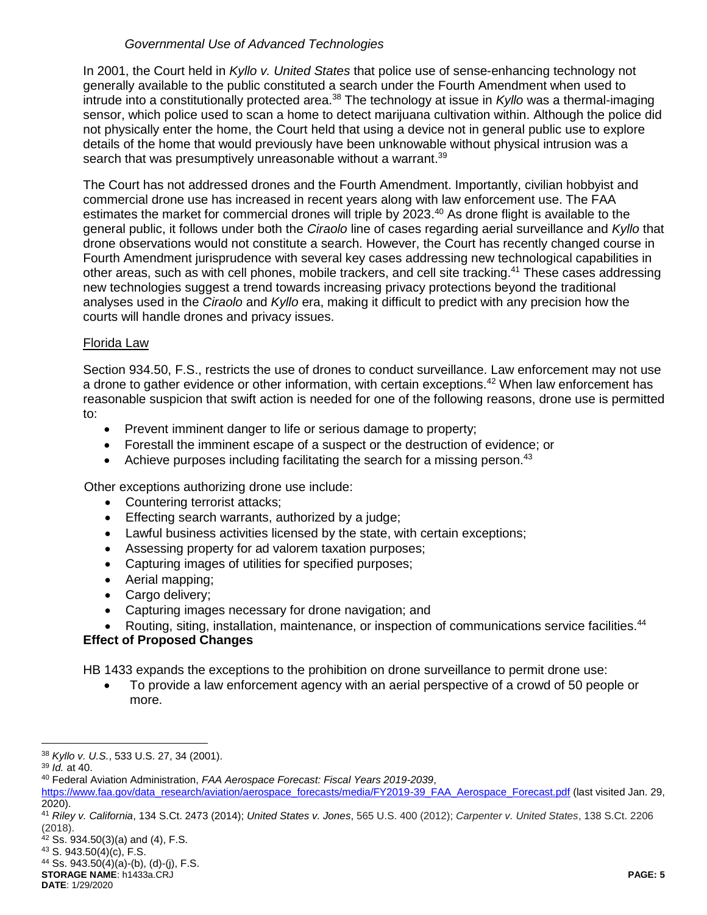## *Governmental Use of Advanced Technologies*

In 2001, the Court held in *Kyllo v. United States* that police use of sense-enhancing technology not generally available to the public constituted a search under the Fourth Amendment when used to intrude into a constitutionally protected area.<sup>38</sup> The technology at issue in *Kyllo* was a thermal-imaging sensor, which police used to scan a home to detect marijuana cultivation within. Although the police did not physically enter the home, the Court held that using a device not in general public use to explore details of the home that would previously have been unknowable without physical intrusion was a search that was presumptively unreasonable without a warrant.<sup>39</sup>

The Court has not addressed drones and the Fourth Amendment. Importantly, civilian hobbyist and commercial drone use has increased in recent years along with law enforcement use. The FAA estimates the market for commercial drones will triple by 2023.<sup>40</sup> As drone flight is available to the general public, it follows under both the *Ciraolo* line of cases regarding aerial surveillance and *Kyllo* that drone observations would not constitute a search. However, the Court has recently changed course in Fourth Amendment jurisprudence with several key cases addressing new technological capabilities in other areas, such as with cell phones, mobile trackers, and cell site tracking.<sup>41</sup> These cases addressing new technologies suggest a trend towards increasing privacy protections beyond the traditional analyses used in the *Ciraolo* and *Kyllo* era, making it difficult to predict with any precision how the courts will handle drones and privacy issues.

## Florida Law

Section 934.50, F.S., restricts the use of drones to conduct surveillance. Law enforcement may not use a drone to gather evidence or other information, with certain exceptions.<sup>42</sup> When law enforcement has reasonable suspicion that swift action is needed for one of the following reasons, drone use is permitted to:

- Prevent imminent danger to life or serious damage to property;
- Forestall the imminent escape of a suspect or the destruction of evidence; or
- Achieve purposes including facilitating the search for a missing person.<sup>43</sup>

Other exceptions authorizing drone use include:

- Countering terrorist attacks;
- **Effecting search warrants, authorized by a judge;**
- Lawful business activities licensed by the state, with certain exceptions;
- Assessing property for ad valorem taxation purposes;
- Capturing images of utilities for specified purposes;
- Aerial mapping:
- Cargo delivery;
- Capturing images necessary for drone navigation; and
- Routing, siting, installation, maintenance, or inspection of communications service facilities.<sup>44</sup>

# **Effect of Proposed Changes**

HB 1433 expands the exceptions to the prohibition on drone surveillance to permit drone use:

 To provide a law enforcement agency with an aerial perspective of a crowd of 50 people or more.

 $\overline{a}$ 

 $42$  Ss. 934.50(3)(a) and (4), F.S.

**STORAGE NAME**: h1433a.CRJ **PAGE: 5**  $44$  Ss. 943.50(4)(a)-(b), (d)-(j), F.S.

<sup>38</sup> *Kyllo v. U.S.*, 533 U.S. 27, 34 (2001).

<sup>39</sup> *Id.* at 40.

<sup>40</sup> Federal Aviation Administration, *FAA Aerospace Forecast: Fiscal Years 2019-2039*,

[https://www.faa.gov/data\\_research/aviation/aerospace\\_forecasts/media/FY2019-39\\_FAA\\_Aerospace\\_Forecast.pdf](https://www.faa.gov/data_research/aviation/aerospace_forecasts/media/FY2019-39_FAA_Aerospace_Forecast.pdf) (last visited Jan. 29, 2020).

<sup>41</sup> *Riley v. California*, 134 S.Ct. 2473 (2014); *United States v. Jones*, 565 U.S. 400 (2012); *Carpenter v. United States*, 138 S.Ct. 2206 (2018).

<sup>43</sup> S. 943.50(4)(c), F.S.

**DATE**: 1/29/2020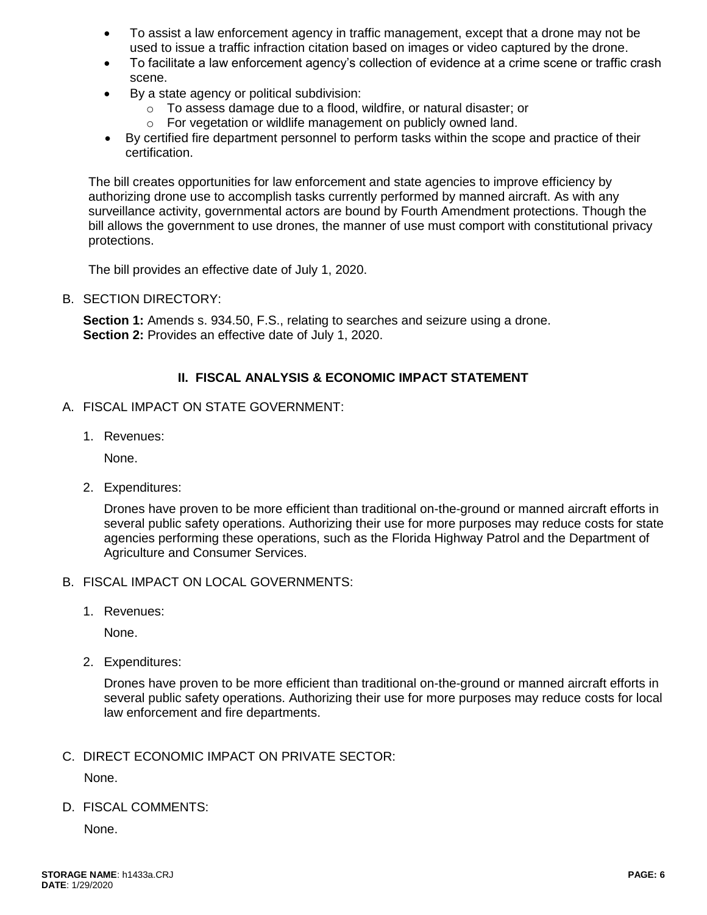- To assist a law enforcement agency in traffic management, except that a drone may not be used to issue a traffic infraction citation based on images or video captured by the drone.
- To facilitate a law enforcement agency's collection of evidence at a crime scene or traffic crash scene.
- By a state agency or political subdivision:
	- o To assess damage due to a flood, wildfire, or natural disaster; or
	- o For vegetation or wildlife management on publicly owned land.
- By certified fire department personnel to perform tasks within the scope and practice of their certification.

The bill creates opportunities for law enforcement and state agencies to improve efficiency by authorizing drone use to accomplish tasks currently performed by manned aircraft. As with any surveillance activity, governmental actors are bound by Fourth Amendment protections. Though the bill allows the government to use drones, the manner of use must comport with constitutional privacy protections.

The bill provides an effective date of July 1, 2020.

B. SECTION DIRECTORY:

**Section 1:** Amends s. 934.50, F.S., relating to searches and seizure using a drone. **Section 2: Provides an effective date of July 1, 2020.** 

## **II. FISCAL ANALYSIS & ECONOMIC IMPACT STATEMENT**

- A. FISCAL IMPACT ON STATE GOVERNMENT:
	- 1. Revenues:

None.

2. Expenditures:

Drones have proven to be more efficient than traditional on-the-ground or manned aircraft efforts in several public safety operations. Authorizing their use for more purposes may reduce costs for state agencies performing these operations, such as the Florida Highway Patrol and the Department of Agriculture and Consumer Services.

- B. FISCAL IMPACT ON LOCAL GOVERNMENTS:
	- 1. Revenues:

None.

2. Expenditures:

Drones have proven to be more efficient than traditional on-the-ground or manned aircraft efforts in several public safety operations. Authorizing their use for more purposes may reduce costs for local law enforcement and fire departments.

C. DIRECT ECONOMIC IMPACT ON PRIVATE SECTOR:

None.

D. FISCAL COMMENTS:

None.